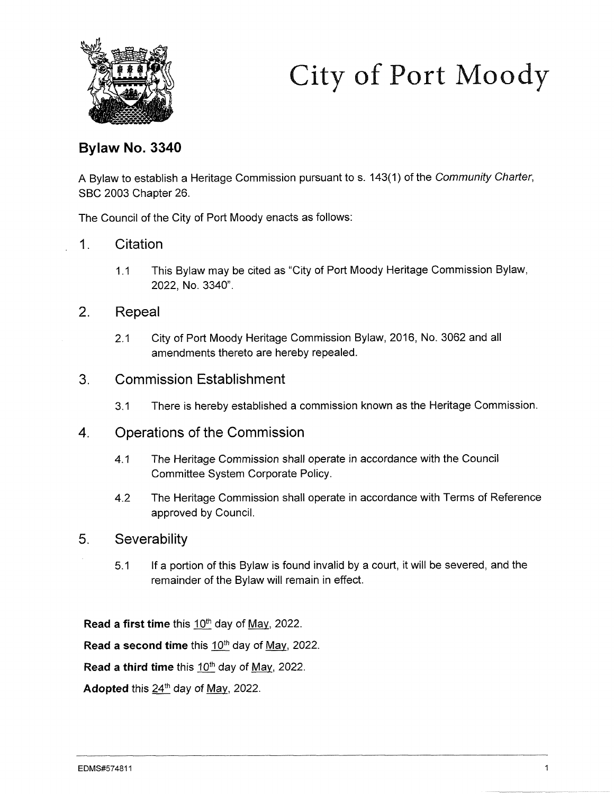

# City of Port Moody

# Bylaw No. 3340

A Bylaw to establish a Heritage Commission pursuant to s. 143(1) of the Community Charter, SBC 2003 Chapter 26.

The Council of the City of Port Moody enacts as follows:

# 1. Citation

1.1 This Bylaw may be cited as "City of Port Moody Heritage Commission Bylaw, 2022, No. 3340".

# 2. Repeal

2.1 City of Port Moody Heritage Commission Bylaw, 2016, No. 3062 and all amendments thereto are hereby repealed.

### 3. Commission Establishment

3.1 There is hereby established a commission known as the Heritage Commission.

### 4. Operations of the Commission

- 4.1 The Heritage Commission shall operate in accordance with the Council Committee System Corporate Policy.
- 4.2 The Heritage Commission shall operate in accordance with Terms of Reference approved by Council.

### 5. Severability

5.1 If a portion of this Bylaw is found invalid by a court, it will be severed, and the remainder of the Bylaw will remain in effect.

Read a first time this  $10^{th}$  day of May, 2022.

Read a second time this  $10<sup>th</sup>$  day of May, 2022.

Read a third time this  $10^{th}$  day of May, 2022.

Adopted this  $24<sup>th</sup>$  day of May, 2022.